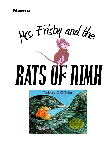Name



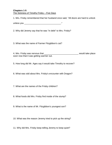### **Chapters 1-5** The Sickness of Timothy Frisby – Five Days

1. Mrs. Frisby remembered that her husband once said, "All doors are hard to unlock

unless you \_\_\_\_\_\_\_\_\_\_\_\_\_\_\_\_\_\_\_\_\_\_\_\_\_\_\_\_\_\_."

2. Why did Jeremy say that he was "in debt" to Mrs. Frisby?

3. What was the name of Farmer Fitzgibbon's cat?

4. Mrs. Frisby was nervous that \_\_\_\_\_\_\_\_\_\_\_\_\_\_\_\_\_\_\_\_\_\_\_\_\_\_\_\_ would take place soon now that it was getting warmer out.

5. How long did Mr. Ages say it would take Timothy to recover?

6. What was odd about Mrs. Frisby's encounter with Dragon?

7. What are the names of the Frisby children?

8. What foods did Mrs. Frisby find inside of the stump?

9. What is the name of Mr. Fitzgibbon's youngest son?

10. What was the reason Jeremy tried to pick up the string?

11. Why did Mrs. Frisby keep telling Jeremy to keep quiet?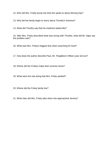12. Who did Mrs. Frisby bump into that she spoke to about Moving Day?

13. Why did the family begin to worry about Timothy's sickness?

14. What did Timothy say that his medicine tasted like?

15. After Mrs. Frisby described what was wrong with Timothy, what did Mr. Ages say the problem was?

16. What was Mrs. Frisby's biggest fear when searching for food?

17. How does the author describe Paul, Mr. Fitzgibbon's fifteen year old son?

18. Where did the Frisbys make their summer home?

19. What were the rats doing that Mrs. Frisby spotted?

20. Where did the Frisby family live?

21. What risks did Mrs. Frisby take when she approached Jeremy?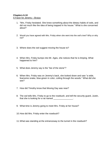### **Chapters 6-10** A Favor for Jeremy – Brutus

- 1. "Mrs. Frisby hesitated. She knew something about the dietary habits of owls, and did not much like the idea of being trapped in his house." What is she concerned about?
- 2. Would you have agreed with Mrs. Frisby when she went into the owl's tree? Why or why not?
- 3. Where does the owl suggest moving the house to?
- 4. When Mrs. Frisby bumps into Mr. Ages, she notices that he is limping. What happened to him?
- 5. What does Jeremy say is the "lee of the stone"?
- 6. When Mrs. Frisby was on Jeremy's back, she looked down and saw "a wide, fearsome snake, blue-green in color, coiling through the woods." What did she see?
- 7. How did Timothy know that Moving Day was near?
- 8. The owl tells Mrs. Frisby to go to the rosebush, and tell the security guard, Justin, that she is looking for a rat named \_\_\_\_\_\_\_\_\_\_\_\_\_\_\_\_.
- 9. What time is Jeremy going to meet Mrs. Frisby at her house?
- 10.How did Mrs. Frisby enter the rosebush?
- 11.What was standing at the entranceway to the tunnel in the rosebush?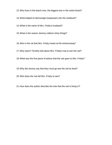12.Who lives in the beech tree, the biggest tree in the entire forest?

13.What helped to discourage trespassers into the rosebush?

14.What is the name of Mrs. Frisby's husband?

15.What is the reason Jeremy collects shiny things?

16.Who is the rat that Mrs. Frisby meets at the entranceway?

17.Why wasn't Timothy told about Mrs. Frisby's trip to see the owl?

18.What was the first piece of advice that the owl gave to Mrs. Frisby?

19.Why did Jeremy say that they must go see the owl at dusk?

20.Who does the owl tell Mrs. Frisby to see?

21.How does the author describe the tree that the owl is living in?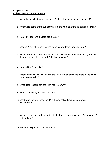# **Chapter 11- 14** In the Library – The Marketplace

- 1. When Isabella first bumps into Mrs. Frisby, what does she accuse her of?
- 2. What were some of the subject that the rats were studying as part of the Plan?
- 3. Name two reasons the rats had a radio?
- 4. Why can't any of the rats put the sleeping powder in Dragon's bowl?
- 5. When Nicodemus, Jenner, and the other rats were in the marketplace, why didn't they notice the white van with NIMH written on it?
- 6. How did Mr. Frisby die?
- 7. Nicodemus explains why moving the Frisby house to the lee of the stone would be important. Why?
- 8. What does Isabella say the Plan has to do with?
- 9. How was there light in the rats home?
- 10.What were the two things that Mrs. Frisby noticed immediately about Nicodemus?
- 11.When the rats have a long project to do, how do they make sure Dragon doesn't bother them?

12. The annual light bulb harvest was like \_\_\_\_\_\_\_\_\_\_\_\_\_\_\_\_.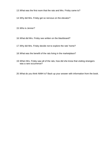- 13.What was the first room that the rats and Mrs. Frisby came to?
- 14.Why did Mrs. Frisby get so nervous on the elevator?

15.Who is Jenner?

- 16.What did Mrs. Frisby see written on the blackboard?
- 17.Why did Mrs. Frisby decide not to explore the rats' home?
- 18.What was the benefit of the rats living in the marketplace?
- 19.When Mrs. Frisby saw all of the rats, how did she know that visiting strangers was a rare occurrence?
- 20.What do you think NIMH is? Back up your answer with information from the book.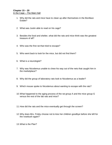## **Chapter 15 – 20** In the Cage – The Main Hall

- 1. Why did the rats and mice have to clean up after themselves in the Boniface Estate?
- 2. What was Justin able to read on his cage?
- 3. Besides the food and shelter, what did the rats and mice think was the greatest treasure of all?
- 4. Who was the first rat that tried to escape?
- 5. Who went back to look for the mice, but did not find them?
- 6. What is a neurologist?
- 7. Why was Nicodemus unable to chew his way out of the nets that caught him in the marketplace?
- 8. Why did the group of laboratory rats look to Nicodemus as a leader?
- 9. Which mouse spoke to Nicodemus about wanting to escape with the rats?
- 10.What happened to the aging process of the rat group A and the mice group G versus the rest of the lab rats and mice?
- 11.How did the rats and the mice eventually get through the screen?
- 12.Why does Mrs. Frisby choose not to kiss her children goodbye before she left for the rosebush again?
- 13.What is the Plan?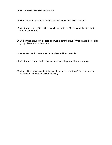- 14.Who were Dr. Schultz's assistants?
- 15.How did Justin determine that the air duct would lead to the outside?
- 16.What were some of the differences between the NIMH rats and the street rats they encountered?
- 17.Of the three groups of lab rats, one was a control group. What makes the control group different from the others?
- 18.What was the first word that the rats learned how to read?
- 19.What would happen to the rats in the maze if they went the wrong way?
- 20.Why did the rats decide that they would need a screwdriver? (use the former vocabulary word *debris* in your answer)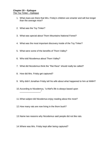# **Chapter 20 – Epilogue** The Toy Tinker – Epilogue

- 1. What clues are there that Mrs. Frisby's children are smarter and will live longer than the average mice?
- 2. What was the Toy Tinker?
- 3. What was special about Thorn Mountains National Forest?
- 4. What was the most important discovery inside of the Toy Tinker?
- 5. What were some of the benefits of Thorn Valley?
- 6. Who told Nicodemus about Thorn Valley?
- 7. What did Nicodemus think the "Rat Race" should really be called?
- 8. How did Mrs. Frisby get captured?

 $\mathcal{L}$  . The set of the set of the set of the set of the set of the set of the set of the set of the set of the set of the set of the set of the set of the set of the set of the set of the set of the set of the set of t

- 9. Why didn't Jonathan Frisby tell his wife about what happened to him at NIMH?
- 10.According to Nicodemus, "a thief's life is always based upon
- 11.What subject did Nicodemus enjoy reading about the most?
- 12.How many rats are now living in the thorn bush?
- 13.Name two reasons why Nicodemus said people did not like rats.
- 14.Where was Mrs. Frisby kept after being captured?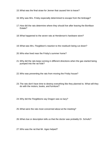- 15.What was the final straw for Jenner that caused him to leave?
- 16.Why was Mrs. Frisby especially determined to escape from the birdcage?
- 17.How did the rats determine where they should live after leaving the Boniface Estate?
- 18.What happened to the seven rats at Henderson's hardware store?
- 19.What was Mrs. Fitzgibbon's reaction to the rosebush being cut down?
- 20.Who else lived near the Frisby's summer home?
- 21.Why did the rats keep running in different directions when the gas started being pumped into the rat hole?
- 22.Who was preventing the rats from moving the Frisby house?
- 23.The rats don't have time to destroy everything like they planned to. What will they do with the motors, books, and furniture?
- 24.Why did the Fitzgibbons say Dragon was so lazy?
- 25.What were the rats most concerned about at the meeting?
- 26.What clue or description tells us that the doctor was probably Dr. Schultz?
- 27.Who was the rat that Mr. Ages helped?